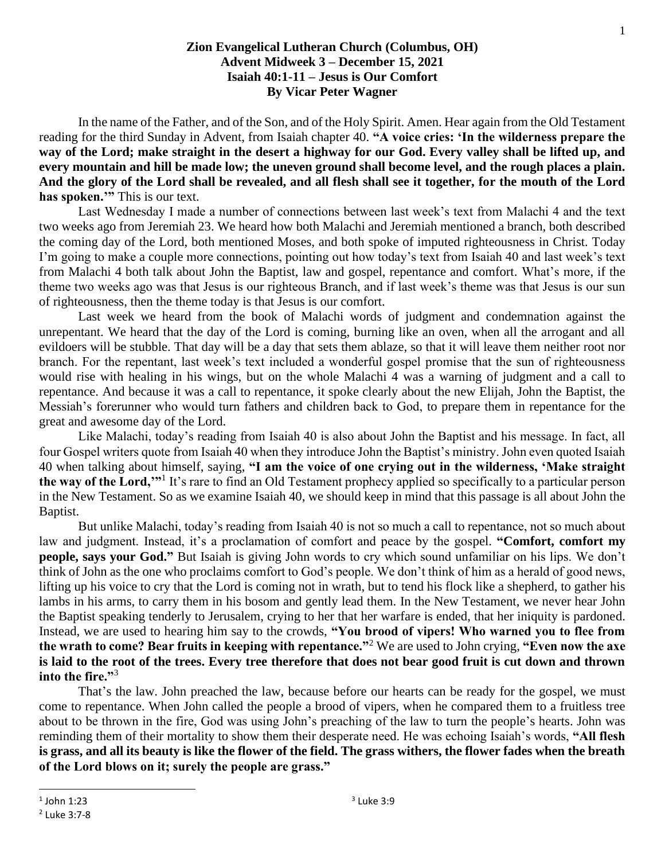## **Zion Evangelical Lutheran Church (Columbus, OH) Advent Midweek 3 – December 15, 2021 Isaiah 40:1-11 – Jesus is Our Comfort By Vicar Peter Wagner**

In the name of the Father, and of the Son, and of the Holy Spirit. Amen. Hear again from the Old Testament reading for the third Sunday in Advent, from Isaiah chapter 40. **"A voice cries: 'In the wilderness prepare the way of the Lord; make straight in the desert a highway for our God. Every valley shall be lifted up, and every mountain and hill be made low; the uneven ground shall become level, and the rough places a plain. And the glory of the Lord shall be revealed, and all flesh shall see it together, for the mouth of the Lord has spoken.'"** This is our text.

Last Wednesday I made a number of connections between last week's text from Malachi 4 and the text two weeks ago from Jeremiah 23. We heard how both Malachi and Jeremiah mentioned a branch, both described the coming day of the Lord, both mentioned Moses, and both spoke of imputed righteousness in Christ. Today I'm going to make a couple more connections, pointing out how today's text from Isaiah 40 and last week's text from Malachi 4 both talk about John the Baptist, law and gospel, repentance and comfort. What's more, if the theme two weeks ago was that Jesus is our righteous Branch, and if last week's theme was that Jesus is our sun of righteousness, then the theme today is that Jesus is our comfort.

Last week we heard from the book of Malachi words of judgment and condemnation against the unrepentant. We heard that the day of the Lord is coming, burning like an oven, when all the arrogant and all evildoers will be stubble. That day will be a day that sets them ablaze, so that it will leave them neither root nor branch. For the repentant, last week's text included a wonderful gospel promise that the sun of righteousness would rise with healing in his wings, but on the whole Malachi 4 was a warning of judgment and a call to repentance. And because it was a call to repentance, it spoke clearly about the new Elijah, John the Baptist, the Messiah's forerunner who would turn fathers and children back to God, to prepare them in repentance for the great and awesome day of the Lord.

Like Malachi, today's reading from Isaiah 40 is also about John the Baptist and his message. In fact, all four Gospel writers quote from Isaiah 40 when they introduce John the Baptist's ministry. John even quoted Isaiah 40 when talking about himself, saying, **"I am the voice of one crying out in the wilderness, 'Make straight the way of the Lord,'"**<sup>1</sup> It's rare to find an Old Testament prophecy applied so specifically to a particular person in the New Testament. So as we examine Isaiah 40, we should keep in mind that this passage is all about John the Baptist.

But unlike Malachi, today's reading from Isaiah 40 is not so much a call to repentance, not so much about law and judgment. Instead, it's a proclamation of comfort and peace by the gospel. **"Comfort, comfort my people, says your God."** But Isaiah is giving John words to cry which sound unfamiliar on his lips. We don't think of John as the one who proclaims comfort to God's people. We don't think of him as a herald of good news, lifting up his voice to cry that the Lord is coming not in wrath, but to tend his flock like a shepherd, to gather his lambs in his arms, to carry them in his bosom and gently lead them. In the New Testament, we never hear John the Baptist speaking tenderly to Jerusalem, crying to her that her warfare is ended, that her iniquity is pardoned. Instead, we are used to hearing him say to the crowds, **"You brood of vipers! Who warned you to flee from the wrath to come? Bear fruits in keeping with repentance."**<sup>2</sup> We are used to John crying, **"Even now the axe is laid to the root of the trees. Every tree therefore that does not bear good fruit is cut down and thrown into the fire."**<sup>3</sup>

That's the law. John preached the law, because before our hearts can be ready for the gospel, we must come to repentance. When John called the people a brood of vipers, when he compared them to a fruitless tree about to be thrown in the fire, God was using John's preaching of the law to turn the people's hearts. John was reminding them of their mortality to show them their desperate need. He was echoing Isaiah's words, **"All flesh is grass, and all its beauty is like the flower of the field. The grass withers, the flower fades when the breath of the Lord blows on it; surely the people are grass."**

 $^1$  John 1:23

<sup>2</sup> Luke 3:7-8